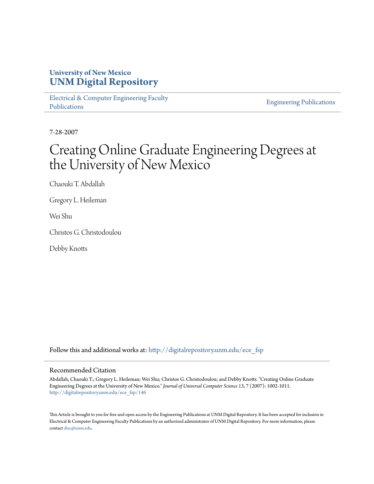# **University of New Mexico [UNM Digital Repository](http://digitalrepository.unm.edu?utm_source=digitalrepository.unm.edu%2Fece_fsp%2F146&utm_medium=PDF&utm_campaign=PDFCoverPages)**

[Electrical & Computer Engineering Faculty](http://digitalrepository.unm.edu/ece_fsp?utm_source=digitalrepository.unm.edu%2Fece_fsp%2F146&utm_medium=PDF&utm_campaign=PDFCoverPages) [Publications](http://digitalrepository.unm.edu/ece_fsp?utm_source=digitalrepository.unm.edu%2Fece_fsp%2F146&utm_medium=PDF&utm_campaign=PDFCoverPages)

[Engineering Publications](http://digitalrepository.unm.edu/eng_fsp?utm_source=digitalrepository.unm.edu%2Fece_fsp%2F146&utm_medium=PDF&utm_campaign=PDFCoverPages)

7-28-2007

# Creating Online Graduate Engineering Degrees at the University of New Mexico

Chaouki T. Abdallah

Gregory L. Heileman

Wei Shu

Christos G. Christodoulou

Debby Knotts

Follow this and additional works at: [http://digitalrepository.unm.edu/ece\\_fsp](http://digitalrepository.unm.edu/ece_fsp?utm_source=digitalrepository.unm.edu%2Fece_fsp%2F146&utm_medium=PDF&utm_campaign=PDFCoverPages)

# Recommended Citation

Abdallah, Chaouki T.; Gregory L. Heileman; Wei Shu; Christos G. Christodoulou; and Debby Knotts. "Creating Online Graduate Engineering Degrees at the University of New Mexico." *Journal of Universal Computer Science* 13, 7 (2007): 1002-1011. [http://digitalrepository.unm.edu/ece\\_fsp/146](http://digitalrepository.unm.edu/ece_fsp/146?utm_source=digitalrepository.unm.edu%2Fece_fsp%2F146&utm_medium=PDF&utm_campaign=PDFCoverPages)

This Article is brought to you for free and open access by the Engineering Publications at UNM Digital Repository. It has been accepted for inclusion in Electrical & Computer Engineering Faculty Publications by an authorized administrator of UNM Digital Repository. For more information, please contact [disc@unm.edu.](mailto:disc@unm.edu)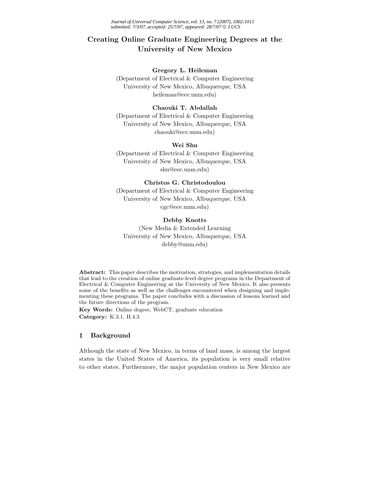*Journal of Universal Computer Science, vol. 13, no. 7 (2007), 1002-1011 submitted: 7/3/07, accepted: 25/7/07, appeared: 28/7/07* © *J.UCS*

# **Creating Online Graduate Engineering Degrees at the University of New Mexico**

# **Gregory L. Heileman**

(Department of Electrical & Computer Engineering University of New Mexico, Albuquerque, USA heileman@ece.unm.edu)

# **Chaouki T. Abdallah**

(Department of Electrical & Computer Engineering University of New Mexico, Albuquerque, USA chaouki@ece.unm.edu)

# **Wei Shu**

(Department of Electrical & Computer Engineering University of New Mexico, Albuquerque, USA shu@ece.unm.edu)

# **Christos G. Christodoulou**

(Department of Electrical & Computer Engineering University of New Mexico, Albuquerque, USA cgc@ece.unm.edu)

# **Debby Knotts**

(New Media & Extended Learning University of New Mexico, Albuquerque, USA debby@unm.edu)

**Abstract:** This paper describes the motivation, strategies, and implementation details that lead to the creation of online graduate-level degree programs in the Department of Electrical & Computer Engineering at the University of New Mexico. It also presents some of the benefits as well as the challenges encountered when designing and implementing these programs. The paper concludes with a discussion of lessons learned and the future directions of the program.

**Key Words:** Online degree, WebCT, graduate education **Category:** K.3.1, H.4.3

# **1 Background**

Although the state of New Mexico, in terms of land mass, is among the largest states in the United States of America, its population is very small relative to other states. Furthermore, the major population centers in New Mexico are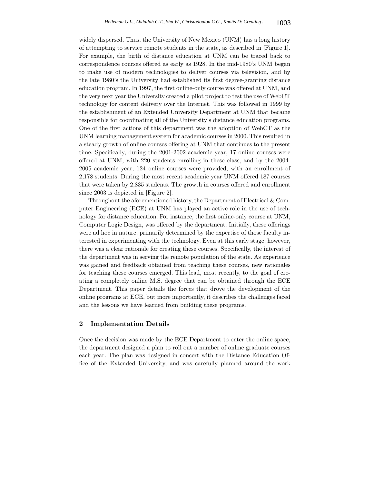widely dispersed. Thus, the University of New Mexico (UNM) has a long history of attempting to service remote students in the state, as described in [Figure 1]. For example, the birth of distance education at UNM can be traced back to correspondence courses offered as early as 1928. In the mid-1980's UNM began to make use of modern technologies to deliver courses via television, and by the late 1980's the University had established its first degree-granting distance education program. In 1997, the first online-only course was offered at UNM, and the very next year the University created a pilot project to test the use of WebCT technology for content delivery over the Internet. This was followed in 1999 by the establishment of an Extended University Department at UNM that became responsible for coordinating all of the University's distance education programs. One of the first actions of this department was the adoption of WebCT as the UNM learning management system for academic courses in 2000. This resulted in a steady growth of online courses offering at UNM that continues to the present time. Specifically, during the 2001-2002 academic year, 17 online courses were offered at UNM, with 220 students enrolling in these class, and by the 2004- 2005 academic year, 124 online courses were provided, with an enrollment of 2,178 students. During the most recent academic year UNM offered 187 courses that were taken by 2,835 students. The growth in courses offered and enrollment since 2003 is depicted in [Figure 2].

Throughout the aforementioned history, the Department of Electrical & Computer Engineering (ECE) at UNM has played an active role in the use of technology for distance education. For instance, the first online-only course at UNM, Computer Logic Design, was offered by the department. Initially, these offerings were ad hoc in nature, primarily determined by the expertise of those faculty interested in experimenting with the technology. Even at this early stage, however, there was a clear rationale for creating these courses. Specifically, the interest of the department was in serving the remote population of the state. As experience was gained and feedback obtained from teaching these courses, new rationales for teaching these courses emerged. This lead, most recently, to the goal of creating a completely online M.S. degree that can be obtained through the ECE Department. This paper details the forces that drove the development of the online programs at ECE, but more importantly, it describes the challenges faced and the lessons we have learned from building these programs.

### **2 Implementation Details**

Once the decision was made by the ECE Department to enter the online space, the department designed a plan to roll out a number of online graduate courses each year. The plan was designed in concert with the Distance Education Office of the Extended University, and was carefully planned around the work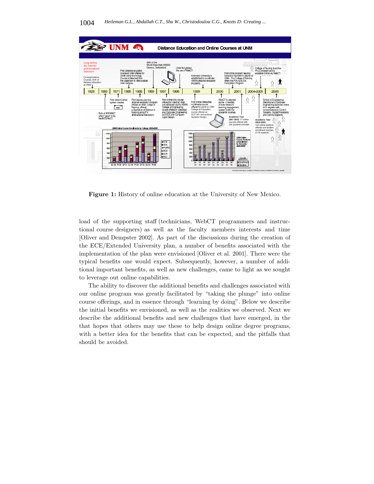

**Figure 1:** History of online education at the University of New Mexico.

load of the supporting staff (technicians, WebCT programmers and instructional course designers) as well as the faculty members interests and time [Oliver and Dempster 2002]. As part of the discussions during the creation of the ECE/Extended University plan, a number of benefits associated with the implementation of the plan were envisioned [Oliver et al. 2001]. There were the typical benefits one would expect. Subsequently, however, a number of additional important benefits, as well as new challenges, came to light as we sought to leverage out online capabilities.

The ability to discover the additional benefits and challenges associated with our online program was greatly facilitated by "taking the plunge" into online course offerings, and in essence through "learning by doing". Below we describe the initial benefits we envisioned, as well as the realities we observed. Next we describe the additional benefits and new challenges that have emerged, in the that hopes that others may use these to help design online degree programs, with a better idea for the benefits that can be expected, and the pitfalls that should be avoided.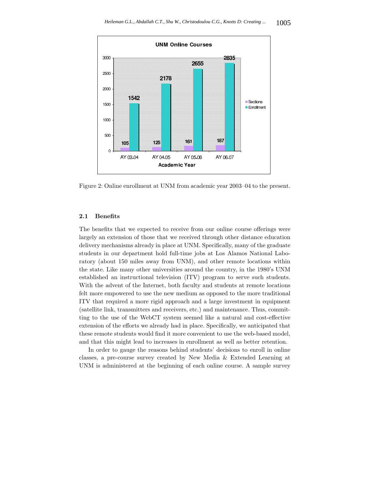

Figure 2: Online enrollment at UNM from academic year 2003–04 to the present.

# **2.1 Benefits**

The benefits that we expected to receive from our online course offerings were largely an extension of those that we received through other distance education delivery mechanisms already in place at UNM. Specifically, many of the graduate students in our department hold full-time jobs at Los Alamos National Laboratory (about 150 miles away from UNM), and other remote locations within the state. Like many other universities around the country, in the 1980's UNM established an instructional television (ITV) program to serve such students. With the advent of the Internet, both faculty and students at remote locations felt more empowered to use the new medium as opposed to the more traditional ITV that required a more rigid approach and a large investment in equipment (satellite link, transmitters and receivers, etc.) and maintenance. Thus, committing to the use of the WebCT system seemed like a natural and cost-effective extension of the efforts we already had in place. Specifically, we anticipated that these remote students would find it more convenient to use the web-based model, and that this might lead to increases in enrollment as well as better retention.

In order to gauge the reasons behind students' decisions to enroll in online classes, a pre-course survey created by New Media & Extended Learning at UNM is administered at the beginning of each online course. A sample survey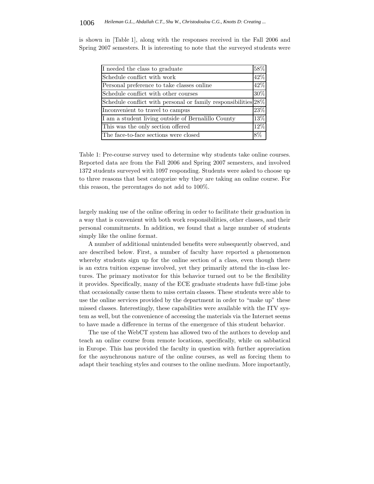| I needed the class to graduate<br>Schedule conflict with work<br>Personal preference to take classes online<br>Schedule conflict with other courses<br>Schedule conflict with personal or family responsibilities 28%<br>Inconvenient to travel to campus<br>I am a student living outside of Bernalillo County<br>This was the only section offered<br>The face-to-face sections were closed |     |
|-----------------------------------------------------------------------------------------------------------------------------------------------------------------------------------------------------------------------------------------------------------------------------------------------------------------------------------------------------------------------------------------------|-----|
|                                                                                                                                                                                                                                                                                                                                                                                               | 58% |
|                                                                                                                                                                                                                                                                                                                                                                                               | 42% |
|                                                                                                                                                                                                                                                                                                                                                                                               | 42% |
|                                                                                                                                                                                                                                                                                                                                                                                               | 30% |
|                                                                                                                                                                                                                                                                                                                                                                                               |     |
|                                                                                                                                                                                                                                                                                                                                                                                               | 23% |
|                                                                                                                                                                                                                                                                                                                                                                                               | 13% |
|                                                                                                                                                                                                                                                                                                                                                                                               | 12% |
|                                                                                                                                                                                                                                                                                                                                                                                               | 8%  |

is shown in [Table 1], along with the responses received in the Fall 2006 and Spring 2007 semesters. It is interesting to note that the surveyed students were

Table 1: Pre-course survey used to determine why students take online courses. Reported data are from the Fall 2006 and Spring 2007 semesters, and involved 1372 students surveyed with 1097 responding. Students were asked to choose up to three reasons that best categorize why they are taking an online course. For this reason, the percentages do not add to 100%.

largely making use of the online offering in order to facilitate their graduation in a way that is convenient with both work responsibilities, other classes, and their personal commitments. In addition, we found that a large number of students simply like the online format.

A number of additional unintended benefits were subsequently observed, and are described below. First, a number of faculty have reported a phenomenon whereby students sign up for the online section of a class, even though there is an extra tuition expense involved, yet they primarily attend the in-class lectures. The primary motivator for this behavior turned out to be the flexibility it provides. Specifically, many of the ECE graduate students have full-time jobs that occasionally cause them to miss certain classes. These students were able to use the online services provided by the department in order to "make up" these missed classes. Interestingly, these capabilities were available with the ITV system as well, but the convenience of accessing the materials via the Internet seems to have made a difference in terms of the emergence of this student behavior.

The use of the WebCT system has allowed two of the authors to develop and teach an online course from remote locations, specifically, while on sabbatical in Europe. This has provided the faculty in question with further appreciation for the asynchronous nature of the online courses, as well as forcing them to adapt their teaching styles and courses to the online medium. More importantly,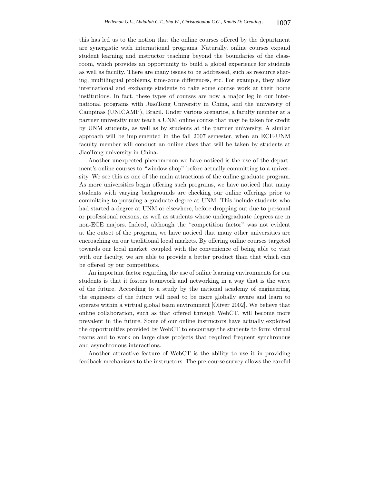this has led us to the notion that the online courses offered by the department are synergistic with international programs. Naturally, online courses expand student learning and instructor teaching beyond the boundaries of the classroom, which provides an opportunity to build a global experience for students as well as faculty. There are many issues to be addressed, such as resource sharing, multilingual problems, time-zone differences, etc. For example, they allow international and exchange students to take some course work at their home institutions. In fact, these types of courses are now a major leg in our international programs with JiaoTong University in China, and the university of Campinas (UNICAMP), Brazil. Under various scenarios, a faculty member at a partner university may teach a UNM online course that may be taken for credit by UNM students, as well as by students at the partner university. A similar approach will be implemented in the fall 2007 semester, when an ECE-UNM faculty member will conduct an online class that will be taken by students at JiaoTong university in China.

Another unexpected phenomenon we have noticed is the use of the department's online courses to "window shop" before actually committing to a university. We see this as one of the main attractions of the online graduate program. As more universities begin offering such programs, we have noticed that many students with varying backgrounds are checking our online offerings prior to committing to pursuing a graduate degree at UNM. This include students who had started a degree at UNM or elsewhere, before dropping out due to personal or professional reasons, as well as students whose undergraduate degrees are in non-ECE majors. Indeed, although the "competition factor" was not evident at the outset of the program, we have noticed that many other universities are encroaching on our traditional local markets. By offering online courses targeted towards our local market, coupled with the convenience of being able to visit with our faculty, we are able to provide a better product than that which can be offered by our competitors.

An important factor regarding the use of online learning environments for our students is that it fosters teamwork and networking in a way that is the wave of the future. According to a study by the national academy of engineering, the engineers of the future will need to be more globally aware and learn to operate within a virtual global team environment [Oliver 2002]. We believe that online collaboration, such as that offered through WebCT, will become more prevalent in the future. Some of our online instructors have actually exploited the opportunities provided by WebCT to encourage the students to form virtual teams and to work on large class projects that required frequent synchronous and asynchronous interactions.

Another attractive feature of WebCT is the ability to use it in providing feedback mechanisms to the instructors. The pre-course survey allows the careful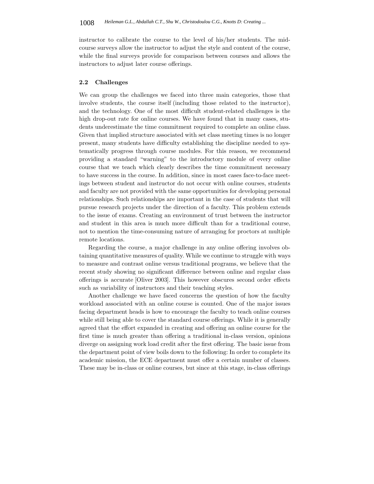instructor to calibrate the course to the level of his/her students. The midcourse surveys allow the instructor to adjust the style and content of the course, while the final surveys provide for comparison between courses and allows the instructors to adjust later course offerings.

#### **2.2 Challenges**

We can group the challenges we faced into three main categories, those that involve students, the course itself (including those related to the instructor), and the technology. One of the most difficult student-related challenges is the high drop-out rate for online courses. We have found that in many cases, students underestimate the time commitment required to complete an online class. Given that implied structure associated with set class meeting times is no longer present, many students have difficulty establishing the discipline needed to systematically progress through course modules. For this reason, we recommend providing a standard "warning" to the introductory module of every online course that we teach which clearly describes the time commitment necessary to have success in the course. In addition, since in most cases face-to-face meetings between student and instructor do not occur with online courses, students and faculty are not provided with the same opportunities for developing personal relationships. Such relationships are important in the case of students that will pursue research projects under the direction of a faculty. This problem extends to the issue of exams. Creating an environment of trust between the instructor and student in this area is much more difficult than for a traditional course, not to mention the time-consuming nature of arranging for proctors at multiple remote locations.

Regarding the course, a major challenge in any online offering involves obtaining quantitative measures of quality. While we continue to struggle with ways to measure and contrast online versus traditional programs, we believe that the recent study showing no significant difference between online and regular class offerings is accurate [Oliver 2003]. This however obscures second order effects such as variability of instructors and their teaching styles.

Another challenge we have faced concerns the question of how the faculty workload associated with an online course is counted. One of the major issues facing department heads is how to encourage the faculty to teach online courses while still being able to cover the standard course offerings. While it is generally agreed that the effort expanded in creating and offering an online course for the first time is much greater than offering a traditional in-class version, opinions diverge on assigning work load credit after the first offering. The basic issue from the department point of view boils down to the following: In order to complete its academic mission, the ECE department must offer a certain number of classes. These may be in-class or online courses, but since at this stage, in-class offerings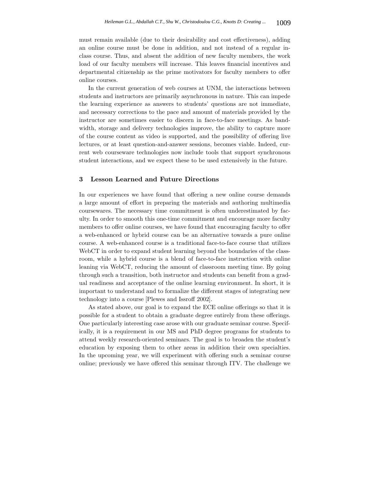must remain available (due to their desirability and cost effectiveness), adding an online course must be done in addition, and not instead of a regular inclass course. Thus, and absent the addition of new faculty members, the work load of our faculty members will increase. This leaves financial incentives and departmental citizenship as the prime motivators for faculty members to offer online courses.

In the current generation of web courses at UNM, the interactions between students and instructors are primarily asynchronous in nature. This can impede the learning experience as answers to students' questions are not immediate, and necessary corrections to the pace and amount of materials provided by the instructor are sometimes easier to discern in face-to-face meetings. As bandwidth, storage and delivery technologies improve, the ability to capture more of the course content as video is supported, and the possibility of offering live lectures, or at least question-and-answer sessions, becomes viable. Indeed, current web courseware technologies now include tools that support synchronous student interactions, and we expect these to be used extensively in the future.

# **3 Lesson Learned and Future Directions**

In our experiences we have found that offering a new online course demands a large amount of effort in preparing the materials and authoring multimedia coursewares. The necessary time commitment is often underestimated by faculty. In order to smooth this one-time commitment and encourage more faculty members to offer online courses, we have found that encouraging faculty to offer a web-enhanced or hybrid course can be an alternative towards a pure online course. A web-enhanced course is a traditional face-to-face course that utilizes WebCT in order to expand student learning beyond the boundaries of the classroom, while a hybrid course is a blend of face-to-face instruction with online leaning via WebCT, reducing the amount of classroom meeting time. By going through such a transition, both instructor and students can benefit from a gradual readiness and acceptance of the online learning environment. In short, it is important to understand and to formalize the different stages of integrating new technology into a course [Plewes and Issroff 2002].

As stated above, our goal is to expand the ECE online offerings so that it is possible for a student to obtain a graduate degree entirely from these offerings. One particularly interesting case arose with our graduate seminar course. Specifically, it is a requirement in our MS and PhD degree programs for students to attend weekly research-oriented seminars. The goal is to broaden the student's education by exposing them to other areas in addition their own specialties. In the upcoming year, we will experiment with offering such a seminar course online; previously we have offered this seminar through ITV. The challenge we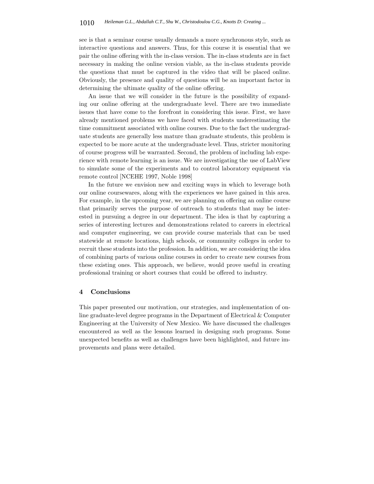see is that a seminar course usually demands a more synchronous style, such as interactive questions and answers. Thus, for this course it is essential that we pair the online offering with the in-class version. The in-class students are in fact necessary in making the online version viable, as the in-class students provide the questions that must be captured in the video that will be placed online. Obviously, the presence and quality of questions will be an important factor in determining the ultimate quality of the online offering.

An issue that we will consider in the future is the possibility of expanding our online offering at the undergraduate level. There are two immediate issues that have come to the forefront in considering this issue. First, we have already mentioned problems we have faced with students underestimating the time commitment associated with online courses. Due to the fact the undergraduate students are generally less mature than graduate students, this problem is expected to be more acute at the undergraduate level. Thus, stricter monitoring of course progress will be warranted. Second, the problem of including lab experience with remote learning is an issue. We are investigating the use of LabView to simulate some of the experiments and to control laboratory equipment via remote control [NCEHE 1997, Noble 1998]

In the future we envision new and exciting ways in which to leverage both our online coursewares, along with the experiences we have gained in this area. For example, in the upcoming year, we are planning on offering an online course that primarily serves the purpose of outreach to students that may be interested in pursuing a degree in our department. The idea is that by capturing a series of interesting lectures and demonstrations related to careers in electrical and computer engineering, we can provide course materials that can be used statewide at remote locations, high schools, or community colleges in order to recruit these students into the profession. In addition, we are considering the idea of combining parts of various online courses in order to create new courses from these existing ones. This approach, we believe, would prove useful in creating professional training or short courses that could be offered to industry.

#### **4 Conclusions**

This paper presented our motivation, our strategies, and implementation of online graduate-level degree programs in the Department of Electrical & Computer Engineering at the University of New Mexico. We have discussed the challenges encountered as well as the lessons learned in designing such programs. Some unexpected benefits as well as challenges have been highlighted, and future improvements and plans were detailed.